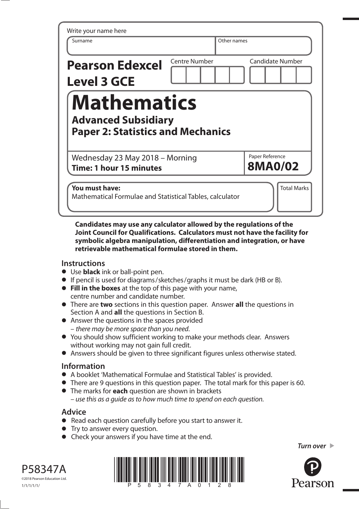| Write your name here<br>Surname                                                              |                      | Other names                       |
|----------------------------------------------------------------------------------------------|----------------------|-----------------------------------|
| <b>Pearson Edexcel</b><br><b>Level 3 GCE</b>                                                 | <b>Centre Number</b> | <b>Candidate Number</b>           |
| <b>Mathematics</b><br><b>Advanced Subsidiary</b><br><b>Paper 2: Statistics and Mechanics</b> |                      |                                   |
| Wednesday 23 May 2018 - Morning<br>Time: 1 hour 15 minutes                                   |                      | Paper Reference<br><b>8MA0/02</b> |
| You must have:<br>Mathematical Formulae and Statistical Tables, calculator                   |                      | <b>Total Marks</b>                |

**Candidates may use any calculator allowed by the regulations of the Joint Council for Qualifications. Calculators must not have the facility for symbolic algebra manipulation, differentiation and integration, or have retrievable mathematical formulae stored in them.**

### **Instructions**

- **•** Use **black** ink or ball-point pen.
- Use **black** ink or ball-point pen.<br>● If pencil is used for diagrams/sketches/graphs it must be dark (HB or B).
- **•** If pencil is used for diagrams/sketches/graphs it must be<br>**•** Fill in the boxes at the top of this page with your name, centre number and candidate number.
- **•** There are **two** sections in this question paper. Answer **all** the questions in Section A and **all** the questions in Section B.
- **•** Answer the questions in the spaces provided – there may be more space than you need.
- **•** You should show sufficient working to make your methods clear. Answers without working may not gain full credit.
- **•** Answers should be given to three significant figures unless otherwise stated.

### **Information**

- **•** A booklet 'Mathematical Formulae and Statistical Tables' is provided.
- **•** A booklet 'Mathematical Formulae and Statistical Tables' is provided.<br>• There are 9 questions in this question paper. The total mark for this paper is 60. • There are 9 questions in this question paper. The to<br>• The marks for **each** question are shown in brackets
- use this as a guide as to how much time to spend on each question.

## **Advice**

- **•** Read each question carefully before you start to answer it. • Read each question carefully<br>• Try to answer every question.
- 
- **•** Try to answer every question.<br>• Check your answers if you have time at the end.





*Turn over* 

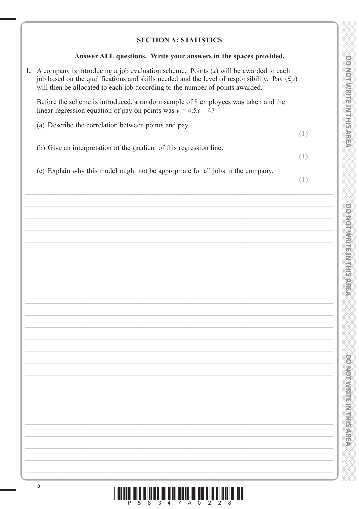### **SECTION A: STATISTICS**

### Answer ALL questions. Write your answers in the spaces provided.

1. A company is introducing a job evaluation scheme. Points  $(x)$  will be awarded to each job based on the qualifications and skills needed and the level of responsibility. Pay  $(f y)$ will then be allocated to each job according to the number of points awarded.

Before the scheme is introduced, a random sample of 8 employees was taken and the linear regression equation of pay on points was  $y = 4.5x - 47$ 

(a) Describe the correlation between points and pay.

(b) Give an interpretation of the gradient of this regression line.

(c) Explain why this model might not be appropriate for all jobs in the company.

 $(1)$ 

 $(1)$ 

 $(1)$ 

**DO NORWARE IN FIRMAREA** 

**DOMORATION ENTIRES** 

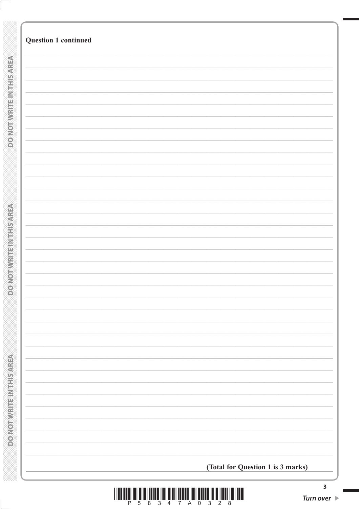|                                           | <b>Question 1 continued</b>       |                         |
|-------------------------------------------|-----------------------------------|-------------------------|
|                                           |                                   |                         |
|                                           |                                   |                         |
|                                           |                                   |                         |
| <b>DO NOTWHISHMTHSAREA</b>                |                                   |                         |
|                                           |                                   |                         |
|                                           |                                   |                         |
|                                           |                                   |                         |
|                                           |                                   |                         |
|                                           |                                   |                         |
|                                           |                                   |                         |
|                                           |                                   |                         |
| <b>ONOTHER HETAPHONIC</b>                 |                                   |                         |
|                                           |                                   |                         |
|                                           |                                   |                         |
| O                                         |                                   |                         |
|                                           |                                   |                         |
|                                           |                                   |                         |
|                                           |                                   |                         |
|                                           |                                   |                         |
|                                           |                                   |                         |
|                                           |                                   |                         |
|                                           |                                   |                         |
| <b>MORE CHAIRS IN STREET AND CONFIDER</b> |                                   |                         |
|                                           |                                   |                         |
|                                           | (Total for Question 1 is 3 marks) |                         |
|                                           |                                   | $\overline{\mathbf{3}}$ |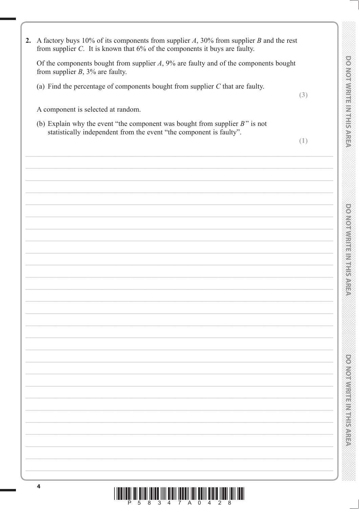| 2. A factory buys 10% of its components from supplier $A$ , 30% from supplier $B$ and the rest<br>from supplier $C$ . It is known that $6\%$ of the components it buys are faulty. |                                       |  |
|------------------------------------------------------------------------------------------------------------------------------------------------------------------------------------|---------------------------------------|--|
| Of the components bought from supplier $A$ , 9% are faulty and of the components bought<br>from supplier $B$ , 3% are faulty.                                                      |                                       |  |
| (a) Find the percentage of components bought from supplier $C$ that are faulty.                                                                                                    | <b>DONOIMRITENTIFIERS</b><br>(3)      |  |
| A component is selected at random.                                                                                                                                                 |                                       |  |
| (b) Explain why the event "the component was bought from supplier $B$ " is not<br>statistically independent from the event "the component is faulty".                              |                                       |  |
|                                                                                                                                                                                    | (1)                                   |  |
|                                                                                                                                                                                    |                                       |  |
|                                                                                                                                                                                    |                                       |  |
|                                                                                                                                                                                    |                                       |  |
|                                                                                                                                                                                    |                                       |  |
|                                                                                                                                                                                    | provide with the first parties of the |  |
|                                                                                                                                                                                    |                                       |  |
|                                                                                                                                                                                    |                                       |  |
|                                                                                                                                                                                    |                                       |  |
|                                                                                                                                                                                    |                                       |  |
|                                                                                                                                                                                    |                                       |  |
|                                                                                                                                                                                    |                                       |  |
|                                                                                                                                                                                    |                                       |  |
|                                                                                                                                                                                    |                                       |  |
|                                                                                                                                                                                    |                                       |  |
|                                                                                                                                                                                    | $\overline{\mathbb{S}}$               |  |
|                                                                                                                                                                                    |                                       |  |
|                                                                                                                                                                                    |                                       |  |
|                                                                                                                                                                                    |                                       |  |
|                                                                                                                                                                                    | <b>MORWISHERN BRANCH</b>              |  |
|                                                                                                                                                                                    |                                       |  |
|                                                                                                                                                                                    |                                       |  |
|                                                                                                                                                                                    |                                       |  |
|                                                                                                                                                                                    |                                       |  |
| 4                                                                                                                                                                                  |                                       |  |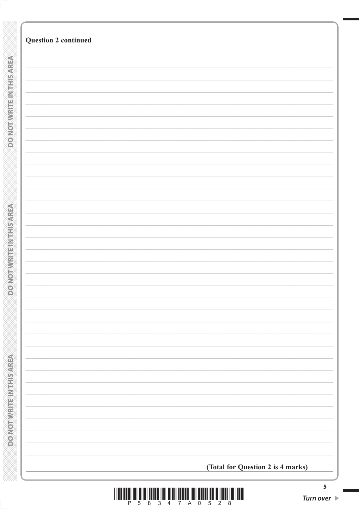| (Total for Question 2 is 4 marks) |
|-----------------------------------|
|                                   |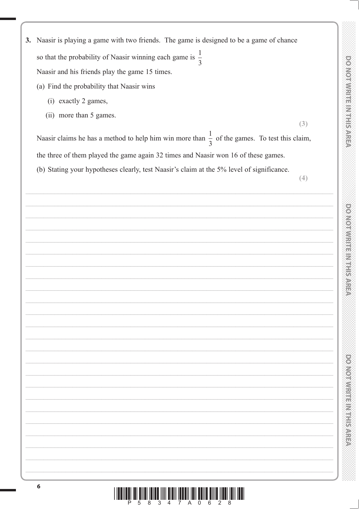- 3. Naasir is playing a game with two friends. The game is designed to be a game of chance so that the probability of Naasir winning each game is  $\frac{1}{3}$ Naasir and his friends play the game 15 times.
	- (a) Find the probability that Naasir wins
		- (i) exactly 2 games,
		- (ii) more than 5 games.

Naasir claims he has a method to help him win more than  $\frac{1}{3}$  of the games. To test this claim, the three of them played the game again 32 times and Naasir won 16 of these games.

(b) Stating your hypotheses clearly, test Naasir's claim at the 5% level of significance.

 $(4)$ 

 $(3)$ 

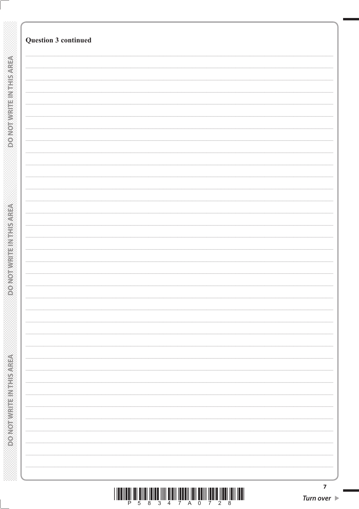| <b>Question 3 continued</b> |  |  |
|-----------------------------|--|--|
|                             |  |  |
|                             |  |  |
|                             |  |  |
|                             |  |  |
|                             |  |  |
|                             |  |  |
|                             |  |  |
|                             |  |  |
|                             |  |  |
|                             |  |  |
|                             |  |  |
|                             |  |  |
|                             |  |  |
|                             |  |  |
|                             |  |  |
|                             |  |  |
|                             |  |  |
|                             |  |  |
|                             |  |  |
|                             |  |  |
|                             |  |  |
|                             |  |  |
|                             |  |  |
|                             |  |  |
|                             |  |  |
|                             |  |  |
|                             |  |  |
|                             |  |  |
|                             |  |  |
|                             |  |  |
|                             |  |  |
|                             |  |  |
|                             |  |  |
|                             |  |  |
|                             |  |  |
|                             |  |  |
|                             |  |  |
|                             |  |  |
|                             |  |  |
|                             |  |  |
|                             |  |  |
|                             |  |  |
|                             |  |  |
|                             |  |  |
|                             |  |  |
|                             |  |  |
|                             |  |  |
|                             |  |  |
|                             |  |  |
|                             |  |  |
|                             |  |  |
|                             |  |  |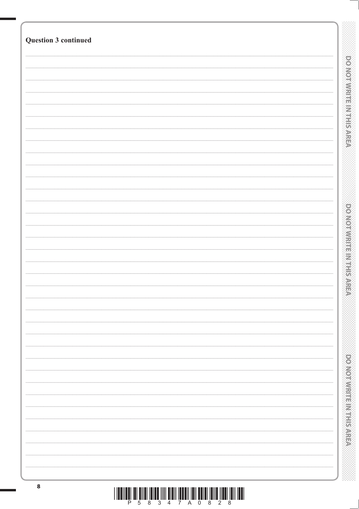| Question 3 continued |                                 |
|----------------------|---------------------------------|
|                      |                                 |
|                      |                                 |
|                      |                                 |
|                      | <b>DO NOT WIRTHEIN HIS AREA</b> |
|                      |                                 |
|                      |                                 |
|                      |                                 |
|                      |                                 |
|                      |                                 |
|                      | <b>DOMOJNAJE: NAJERICANE</b>    |
|                      |                                 |
|                      |                                 |
|                      |                                 |
|                      |                                 |
|                      | <b>PORTO PROTECTIVE CONTROL</b> |
|                      |                                 |
|                      |                                 |
|                      |                                 |
| $\pmb{8}$            |                                 |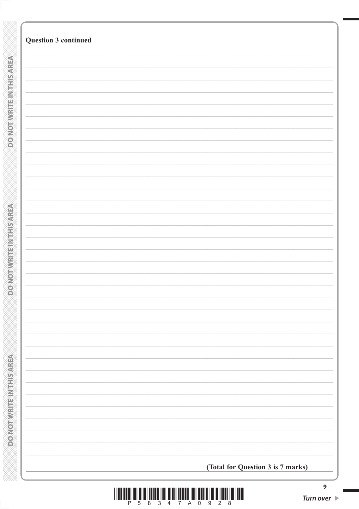| <b>Question 3 continued</b> |                                   |  |
|-----------------------------|-----------------------------------|--|
|                             |                                   |  |
|                             |                                   |  |
|                             |                                   |  |
|                             |                                   |  |
|                             |                                   |  |
|                             |                                   |  |
|                             |                                   |  |
|                             |                                   |  |
|                             |                                   |  |
|                             |                                   |  |
|                             |                                   |  |
|                             |                                   |  |
|                             |                                   |  |
|                             |                                   |  |
|                             |                                   |  |
|                             |                                   |  |
|                             |                                   |  |
|                             |                                   |  |
|                             |                                   |  |
|                             |                                   |  |
|                             |                                   |  |
|                             |                                   |  |
|                             |                                   |  |
|                             |                                   |  |
|                             |                                   |  |
|                             |                                   |  |
|                             |                                   |  |
|                             |                                   |  |
|                             | (Total for Question 3 is 7 marks) |  |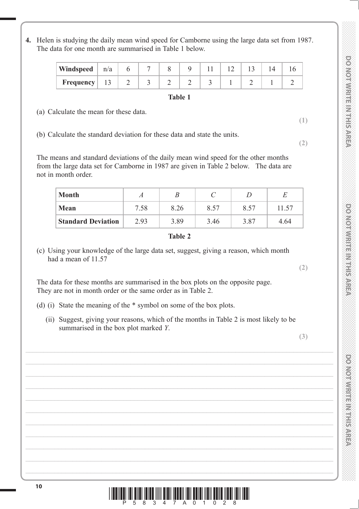- *DO NOT WRITE IN THIS AREA DO NOT WRITE IN THIS AREA DO NOT WRITE IN THIS AREA DO NOT WRITE IN THIS AREA DO NOT WRITE IN THIS AREA DO NOT WRITE IN THIS AREA DO NOT WRITE IN THIS AREA DO NOT WRITE IN THIS AREA DO NOT WRITE* **DO NORWRITE IN THE ARRES**
- **DOMORWISHER MEETINGS**

**PONORMAN ERIC NEWSPAPER** 

**4.** Helen is studying the daily mean wind speed for Camborne using the large data set from 1987. The data for one month are summarised in Table 1 below.

| <b>Windspeed</b> $\mid$ n/a |     |   |  |   |  |  |
|-----------------------------|-----|---|--|---|--|--|
| <b>Frequency</b>            | 1 J | ∠ |  | ັ |  |  |

### **Table 1**

(a) Calculate the mean for these data.

(b) Calculate the standard deviation for these data and state the units.

 The means and standard deviations of the daily mean wind speed for the other months from the large data set for Camborne in 1987 are given in Table 2 below. The data are not in month order.

| <b>Month</b>              | А    |      |      |      |       |
|---------------------------|------|------|------|------|-------|
| <b>Mean</b>               | 7.58 | 8.26 | 8.57 | 8.57 | 11.57 |
| <b>Standard Deviation</b> | 2.93 | 3.89 | 3.46 | 3.87 | 4.64  |

### **Table 2**

 (c) Using your knowledge of the large data set, suggest, giving a reason, which month had a mean of 11.57

 The data for these months are summarised in the box plots on the opposite page. They are not in month order or the same order as in Table 2.

- (d) (i) State the meaning of the \* symbol on some of the box plots.
	- (ii) Suggest, giving your reasons, which of the months in Table 2 is most likely to be summarised in the box plot marked *Y*.

**(3)**

**(2)**

**(1)**

**(2)**

**<sup>10</sup>** \*P58347A01028\*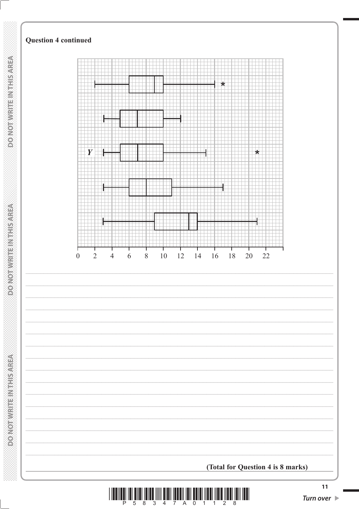

Ш

 $11$ 

Turn over  $\blacktriangleright$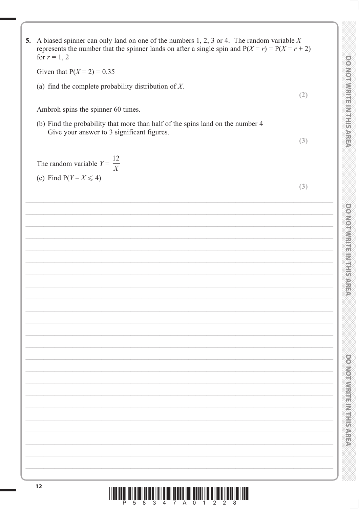| 5. A biased spinner can only land on one of the numbers 1, 2, 3 or 4. The random variable $X$<br>represents the number that the spinner lands on after a single spin and $P(X = r) = P(X = r + 2)$<br>for $r = 1, 2$ |                                             |
|----------------------------------------------------------------------------------------------------------------------------------------------------------------------------------------------------------------------|---------------------------------------------|
| Given that $P(X = 2) = 0.35$                                                                                                                                                                                         |                                             |
| (a) find the complete probability distribution of $X$ .                                                                                                                                                              | <b>DO NOIA WITH RANGE IS A STREE</b><br>(2) |
| Ambroh spins the spinner 60 times.                                                                                                                                                                                   |                                             |
| (b) Find the probability that more than half of the spins land on the number 4<br>Give your answer to 3 significant figures.                                                                                         |                                             |
|                                                                                                                                                                                                                      | (3)                                         |
| The random variable $Y = \frac{12}{X}$                                                                                                                                                                               |                                             |
| (c) Find $P(Y - X \leq 4)$                                                                                                                                                                                           | (3)                                         |
|                                                                                                                                                                                                                      |                                             |
|                                                                                                                                                                                                                      |                                             |
|                                                                                                                                                                                                                      |                                             |
|                                                                                                                                                                                                                      |                                             |
|                                                                                                                                                                                                                      |                                             |
|                                                                                                                                                                                                                      |                                             |
|                                                                                                                                                                                                                      |                                             |
|                                                                                                                                                                                                                      |                                             |
|                                                                                                                                                                                                                      |                                             |
|                                                                                                                                                                                                                      |                                             |
|                                                                                                                                                                                                                      | 3                                           |
|                                                                                                                                                                                                                      |                                             |
|                                                                                                                                                                                                                      |                                             |
|                                                                                                                                                                                                                      |                                             |
|                                                                                                                                                                                                                      | <b>ENGINEERING</b>                          |
|                                                                                                                                                                                                                      |                                             |
|                                                                                                                                                                                                                      |                                             |
|                                                                                                                                                                                                                      |                                             |
| 12                                                                                                                                                                                                                   |                                             |

I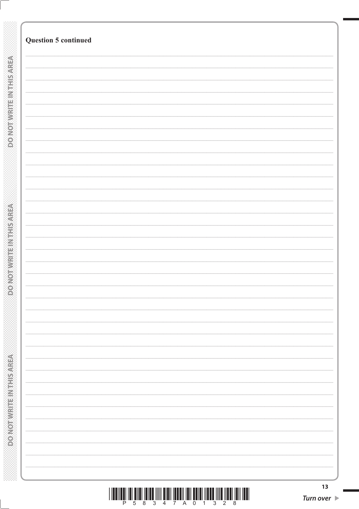| <b>Question 5 continued</b><br><b>DO NOT WRITEIN THIS AREA</b><br><b>DOMOSIA BRANCH REPORT</b><br><b>ROMORAL REGISTRATION</b> |  |    |
|-------------------------------------------------------------------------------------------------------------------------------|--|----|
|                                                                                                                               |  |    |
|                                                                                                                               |  |    |
|                                                                                                                               |  |    |
|                                                                                                                               |  |    |
|                                                                                                                               |  |    |
|                                                                                                                               |  |    |
|                                                                                                                               |  |    |
|                                                                                                                               |  |    |
|                                                                                                                               |  |    |
|                                                                                                                               |  |    |
|                                                                                                                               |  |    |
|                                                                                                                               |  |    |
|                                                                                                                               |  |    |
|                                                                                                                               |  |    |
|                                                                                                                               |  |    |
|                                                                                                                               |  |    |
|                                                                                                                               |  |    |
|                                                                                                                               |  |    |
|                                                                                                                               |  |    |
|                                                                                                                               |  |    |
|                                                                                                                               |  |    |
|                                                                                                                               |  |    |
|                                                                                                                               |  |    |
|                                                                                                                               |  |    |
|                                                                                                                               |  |    |
|                                                                                                                               |  |    |
|                                                                                                                               |  |    |
|                                                                                                                               |  |    |
|                                                                                                                               |  |    |
|                                                                                                                               |  |    |
|                                                                                                                               |  |    |
|                                                                                                                               |  |    |
|                                                                                                                               |  |    |
|                                                                                                                               |  |    |
|                                                                                                                               |  |    |
|                                                                                                                               |  |    |
|                                                                                                                               |  |    |
|                                                                                                                               |  |    |
|                                                                                                                               |  |    |
|                                                                                                                               |  |    |
|                                                                                                                               |  |    |
|                                                                                                                               |  |    |
|                                                                                                                               |  |    |
|                                                                                                                               |  |    |
|                                                                                                                               |  |    |
|                                                                                                                               |  |    |
|                                                                                                                               |  |    |
|                                                                                                                               |  |    |
|                                                                                                                               |  |    |
|                                                                                                                               |  |    |
|                                                                                                                               |  |    |
|                                                                                                                               |  |    |
|                                                                                                                               |  |    |
|                                                                                                                               |  |    |
|                                                                                                                               |  |    |
|                                                                                                                               |  |    |
|                                                                                                                               |  |    |
|                                                                                                                               |  |    |
|                                                                                                                               |  |    |
|                                                                                                                               |  |    |
|                                                                                                                               |  |    |
|                                                                                                                               |  | 13 |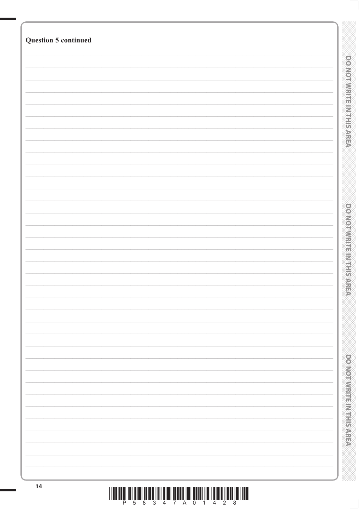| <b>Question 5 continued</b> |                             |
|-----------------------------|-----------------------------|
|                             |                             |
|                             |                             |
|                             |                             |
|                             |                             |
|                             |                             |
|                             |                             |
|                             | <b>DOMOTIVE HISTORICARE</b> |
|                             |                             |
|                             |                             |
|                             |                             |
|                             |                             |
|                             |                             |
|                             |                             |
|                             |                             |
|                             |                             |
|                             |                             |
|                             |                             |
|                             |                             |
|                             |                             |
|                             |                             |
|                             | <b>PONOSTIC PROFESSIONS</b> |
|                             |                             |
|                             |                             |
|                             |                             |
|                             |                             |
|                             |                             |
|                             |                             |
|                             |                             |
|                             |                             |
|                             |                             |
|                             |                             |
|                             |                             |
|                             |                             |
|                             |                             |
|                             |                             |
|                             |                             |
|                             | <b>DONOTHER MERIDIANS</b>   |
|                             |                             |
|                             |                             |
|                             |                             |
|                             |                             |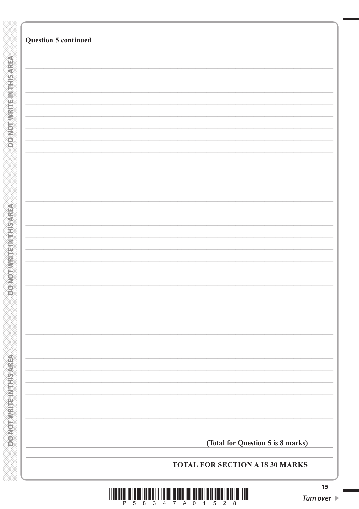| <b>Question 5 continued</b> |                                   |
|-----------------------------|-----------------------------------|
|                             |                                   |
|                             |                                   |
|                             |                                   |
|                             |                                   |
|                             |                                   |
|                             |                                   |
|                             |                                   |
|                             |                                   |
|                             |                                   |
|                             |                                   |
|                             |                                   |
|                             |                                   |
|                             |                                   |
|                             |                                   |
|                             |                                   |
|                             |                                   |
|                             |                                   |
|                             |                                   |
|                             |                                   |
|                             |                                   |
|                             |                                   |
|                             |                                   |
|                             | (Total for Question 5 is 8 marks) |
|                             | TOTAL FOR SECTION A IS 30 MARKS   |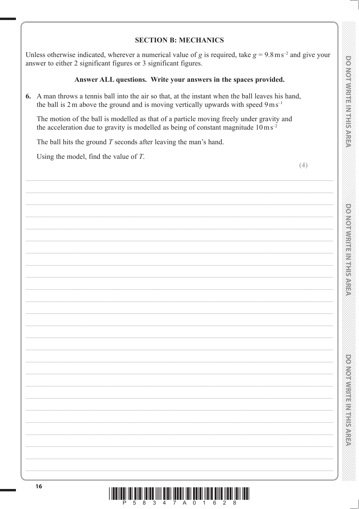# **DONOINMENT RANET**

# **PONONNIA PROTECTIONS**

# **SECTION B: MECHANICS**

Unless otherwise indicated, wherever a numerical value of g is required, take  $g = 9.8 \text{ m s}^{-2}$  and give your answer to either 2 significant figures or 3 significant figures.

### Answer ALL questions. Write your answers in the spaces provided.

6. A man throws a tennis ball into the air so that, at the instant when the ball leaves his hand, the ball is 2 m above the ground and is moving vertically upwards with speed  $9 \text{ m s}^{-1}$ 

The motion of the ball is modelled as that of a particle moving freely under gravity and the acceleration due to gravity is modelled as being of constant magnitude  $10 \text{ m s}^{-2}$ 

The ball hits the ground  $T$  seconds after leaving the man's hand.

Using the model, find the value of  $T$ .

 $(4)$ 

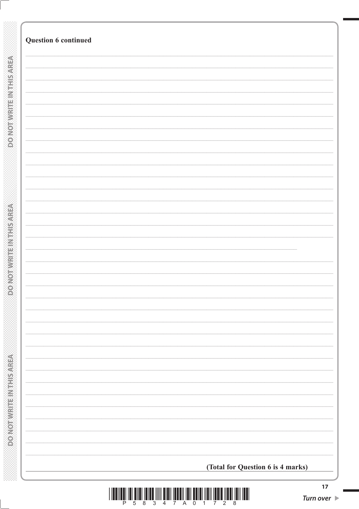|                           | Question 6 continued              |
|---------------------------|-----------------------------------|
|                           |                                   |
|                           |                                   |
| DO NOT WRITE IN THIS AREA |                                   |
|                           |                                   |
|                           |                                   |
|                           |                                   |
|                           |                                   |
|                           |                                   |
|                           |                                   |
|                           |                                   |
|                           |                                   |
|                           |                                   |
|                           |                                   |
|                           |                                   |
|                           |                                   |
|                           |                                   |
|                           |                                   |
|                           |                                   |
|                           |                                   |
|                           |                                   |
|                           |                                   |
|                           |                                   |
|                           |                                   |
|                           |                                   |
|                           |                                   |
|                           |                                   |
|                           |                                   |
|                           |                                   |
|                           |                                   |
|                           |                                   |
|                           |                                   |
|                           |                                   |
|                           |                                   |
|                           |                                   |
|                           |                                   |
|                           |                                   |
|                           |                                   |
|                           |                                   |
|                           |                                   |
|                           |                                   |
|                           |                                   |
|                           |                                   |
|                           |                                   |
|                           |                                   |
|                           |                                   |
|                           |                                   |
|                           |                                   |
|                           |                                   |
|                           |                                   |
|                           |                                   |
|                           |                                   |
|                           |                                   |
|                           |                                   |
|                           |                                   |
|                           |                                   |
|                           | (Total for Question 6 is 4 marks) |
|                           |                                   |

§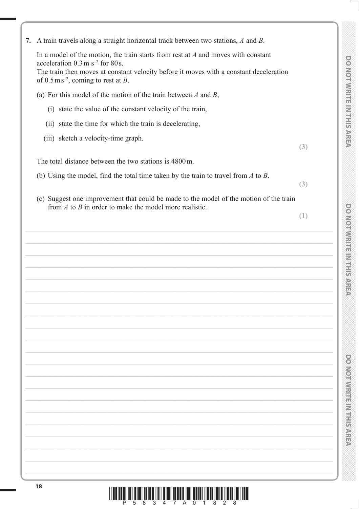| 7. A train travels along a straight horizontal track between two stations, A and B.                                                                  |     |
|------------------------------------------------------------------------------------------------------------------------------------------------------|-----|
| In a model of the motion, the train starts from rest at $A$ and moves with constant<br>acceleration $0.3 \text{ m s}^{-2}$ for 80 s.                 |     |
| The train then moves at constant velocity before it moves with a constant deceleration<br>of $0.5 \text{ m s}^{-2}$ , coming to rest at B.           |     |
| (a) For this model of the motion of the train between $A$ and $B$ ,                                                                                  |     |
| (i) state the value of the constant velocity of the train,                                                                                           |     |
| (ii) state the time for which the train is decelerating,                                                                                             |     |
| (iii) sketch a velocity-time graph.                                                                                                                  | (3) |
| The total distance between the two stations is 4800 m.                                                                                               |     |
| (b) Using the model, find the total time taken by the train to travel from $A$ to $B$ .                                                              | (3) |
| (c) Suggest one improvement that could be made to the model of the motion of the train<br>from $A$ to $B$ in order to make the model more realistic. |     |
|                                                                                                                                                      | (1) |
|                                                                                                                                                      |     |
|                                                                                                                                                      |     |
|                                                                                                                                                      |     |
|                                                                                                                                                      |     |
|                                                                                                                                                      |     |
|                                                                                                                                                      |     |
|                                                                                                                                                      |     |
|                                                                                                                                                      |     |
|                                                                                                                                                      |     |
|                                                                                                                                                      |     |
|                                                                                                                                                      |     |
|                                                                                                                                                      |     |
|                                                                                                                                                      |     |
|                                                                                                                                                      |     |
|                                                                                                                                                      |     |
|                                                                                                                                                      |     |
|                                                                                                                                                      |     |
|                                                                                                                                                      |     |
| 18                                                                                                                                                   |     |
| <b>THE REAL</b>                                                                                                                                      |     |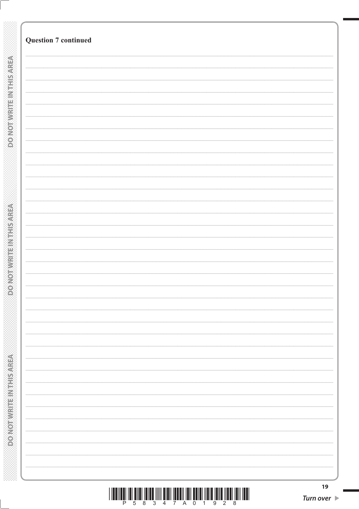|                               | <b>Question 7 continued</b> |  |
|-------------------------------|-----------------------------|--|
|                               |                             |  |
|                               |                             |  |
|                               |                             |  |
|                               |                             |  |
|                               |                             |  |
|                               |                             |  |
| <b>DO NOTWEITEN THIS AREA</b> |                             |  |
|                               |                             |  |
|                               |                             |  |
|                               |                             |  |
|                               |                             |  |
|                               |                             |  |
|                               |                             |  |
|                               |                             |  |
|                               |                             |  |
|                               |                             |  |
|                               |                             |  |
|                               |                             |  |
|                               |                             |  |
|                               |                             |  |
|                               |                             |  |
|                               |                             |  |
|                               |                             |  |
|                               |                             |  |
|                               |                             |  |
|                               |                             |  |
|                               |                             |  |
|                               |                             |  |
|                               |                             |  |
|                               |                             |  |
|                               |                             |  |
|                               |                             |  |
|                               |                             |  |
|                               |                             |  |
|                               |                             |  |
|                               |                             |  |
|                               |                             |  |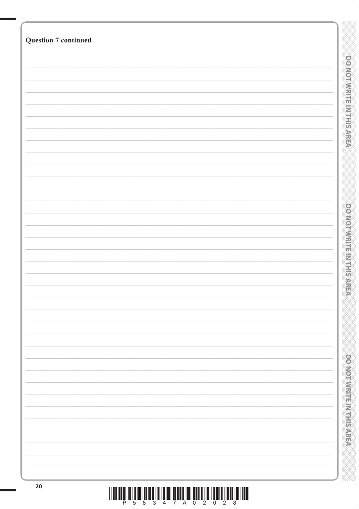| <b>Question 7 continued</b> |                                  |
|-----------------------------|----------------------------------|
|                             |                                  |
|                             | <b>DO NOT WIRTFEIN THIS AREA</b> |
|                             |                                  |
|                             |                                  |
|                             |                                  |
|                             |                                  |
|                             |                                  |
|                             |                                  |
|                             |                                  |
|                             |                                  |
|                             |                                  |
|                             |                                  |
|                             |                                  |
|                             |                                  |
|                             |                                  |
|                             |                                  |
|                             | <b>DOMORRITHMENT PARE</b>        |
|                             |                                  |
|                             |                                  |
|                             |                                  |
|                             |                                  |
|                             |                                  |
|                             |                                  |
|                             |                                  |
|                             |                                  |
|                             |                                  |
|                             |                                  |
|                             |                                  |
|                             |                                  |
|                             |                                  |
|                             |                                  |
|                             |                                  |
|                             |                                  |
|                             | <b>DONOTHING ENGINEERS</b>       |
|                             |                                  |
|                             |                                  |
|                             |                                  |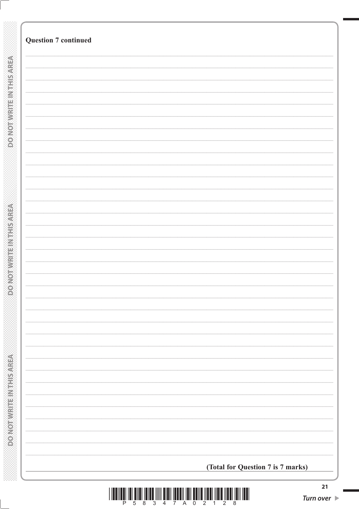|                              | <b>Question 7 continued</b>       |
|------------------------------|-----------------------------------|
|                              |                                   |
| <b>DONOTWRITEINTHIS AREA</b> |                                   |
|                              |                                   |
|                              |                                   |
|                              |                                   |
|                              |                                   |
|                              |                                   |
|                              |                                   |
|                              |                                   |
|                              |                                   |
|                              |                                   |
|                              |                                   |
|                              |                                   |
|                              |                                   |
|                              |                                   |
|                              |                                   |
|                              |                                   |
|                              |                                   |
|                              |                                   |
|                              |                                   |
|                              |                                   |
|                              |                                   |
|                              |                                   |
|                              |                                   |
|                              | (Total for Question 7 is 7 marks) |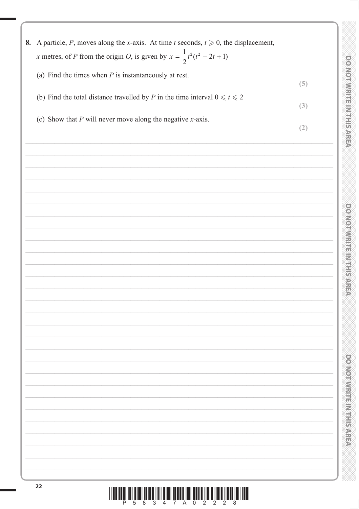| 8. A particle, P, moves along the x-axis. At time t seconds, $t \ge 0$ , the displacement, |     |                                             |
|--------------------------------------------------------------------------------------------|-----|---------------------------------------------|
| x metres, of P from the origin O, is given by $x = \frac{1}{2}t^2(t^2 - 2t + 1)$           |     |                                             |
| (a) Find the times when $P$ is instantaneously at rest.                                    |     |                                             |
|                                                                                            | (5) |                                             |
| (b) Find the total distance travelled by P in the time interval $0 \le t \le 2$            |     |                                             |
|                                                                                            | (3) | <b>PONOINNRITE INTERNET</b>                 |
| (c) Show that $P$ will never move along the negative $x$ -axis.                            | (2) |                                             |
|                                                                                            |     |                                             |
|                                                                                            |     |                                             |
|                                                                                            |     |                                             |
|                                                                                            |     |                                             |
|                                                                                            |     |                                             |
|                                                                                            |     |                                             |
|                                                                                            |     | <b>DONIO NATIONAL REPORTS</b>               |
|                                                                                            |     |                                             |
|                                                                                            |     |                                             |
|                                                                                            |     |                                             |
|                                                                                            |     | es<br>S                                     |
|                                                                                            |     |                                             |
|                                                                                            |     |                                             |
|                                                                                            |     |                                             |
|                                                                                            |     |                                             |
|                                                                                            |     |                                             |
|                                                                                            |     |                                             |
|                                                                                            |     |                                             |
|                                                                                            |     |                                             |
|                                                                                            |     |                                             |
|                                                                                            |     |                                             |
|                                                                                            |     | <b>POSTO REPORT OF A STRATEGIC PROPERTY</b> |
|                                                                                            |     |                                             |
|                                                                                            |     |                                             |
|                                                                                            |     |                                             |
|                                                                                            |     |                                             |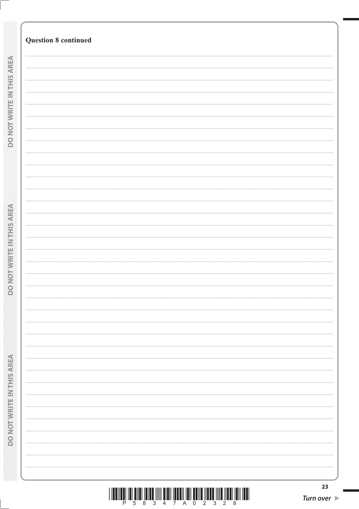| <b>Question 8 continued</b> |  |
|-----------------------------|--|
|                             |  |
|                             |  |
|                             |  |
|                             |  |
|                             |  |
|                             |  |
|                             |  |
|                             |  |
|                             |  |
|                             |  |
|                             |  |
|                             |  |
|                             |  |
|                             |  |
|                             |  |
|                             |  |
|                             |  |
|                             |  |
|                             |  |
|                             |  |
|                             |  |
|                             |  |
|                             |  |
|                             |  |
|                             |  |
|                             |  |
|                             |  |
|                             |  |
|                             |  |
|                             |  |
|                             |  |
|                             |  |
|                             |  |
|                             |  |
|                             |  |
|                             |  |
|                             |  |
|                             |  |
|                             |  |
|                             |  |
|                             |  |
|                             |  |
|                             |  |
|                             |  |
|                             |  |
|                             |  |
|                             |  |
|                             |  |
|                             |  |
|                             |  |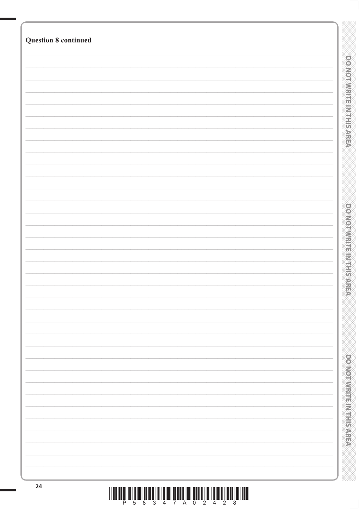| <b>Question 8 continued</b> |                                 |
|-----------------------------|---------------------------------|
|                             |                                 |
|                             |                                 |
|                             |                                 |
|                             |                                 |
|                             |                                 |
|                             |                                 |
|                             | <b>DO NOT WITH BINTHIS AREA</b> |
|                             |                                 |
|                             |                                 |
|                             |                                 |
|                             |                                 |
|                             |                                 |
|                             |                                 |
|                             |                                 |
|                             |                                 |
|                             |                                 |
|                             |                                 |
|                             | <b>PONO REMEMBER 2014</b>       |
|                             |                                 |
|                             |                                 |
|                             |                                 |
|                             |                                 |
|                             |                                 |
|                             |                                 |
|                             |                                 |
|                             |                                 |
|                             |                                 |
|                             |                                 |
|                             |                                 |
|                             |                                 |
|                             |                                 |
|                             |                                 |
|                             | <b>DOMOTWRITEIN STRIPS AREA</b> |
|                             |                                 |
|                             |                                 |
|                             |                                 |
|                             |                                 |
|                             |                                 |
|                             |                                 |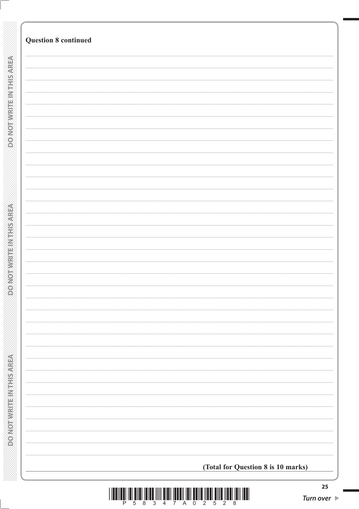| <b>Question 8 continued</b>        |
|------------------------------------|
|                                    |
|                                    |
|                                    |
|                                    |
|                                    |
|                                    |
|                                    |
|                                    |
|                                    |
|                                    |
|                                    |
|                                    |
|                                    |
|                                    |
|                                    |
|                                    |
|                                    |
|                                    |
|                                    |
|                                    |
|                                    |
|                                    |
|                                    |
|                                    |
|                                    |
|                                    |
|                                    |
|                                    |
|                                    |
|                                    |
|                                    |
|                                    |
|                                    |
|                                    |
|                                    |
|                                    |
|                                    |
|                                    |
|                                    |
|                                    |
|                                    |
|                                    |
|                                    |
|                                    |
|                                    |
|                                    |
|                                    |
|                                    |
|                                    |
|                                    |
|                                    |
|                                    |
| (Total for Question 8 is 10 marks) |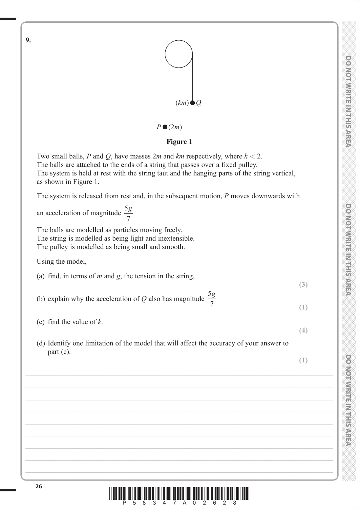**DO NOT WRITE IN THIS AREA** 



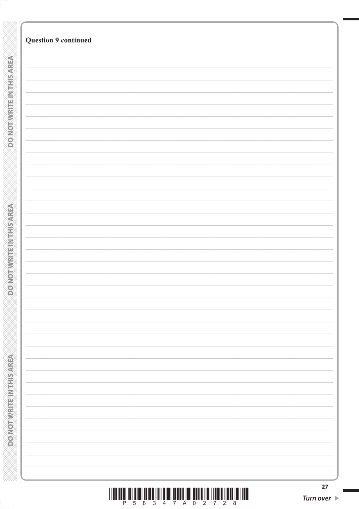| <b>Question 9 continued</b> |  |
|-----------------------------|--|
|                             |  |
|                             |  |
|                             |  |
|                             |  |
|                             |  |
|                             |  |
|                             |  |
|                             |  |
|                             |  |
|                             |  |
|                             |  |
|                             |  |
|                             |  |
|                             |  |
|                             |  |
|                             |  |
|                             |  |
|                             |  |
|                             |  |
|                             |  |
|                             |  |
|                             |  |
|                             |  |
|                             |  |
|                             |  |
|                             |  |
|                             |  |
|                             |  |
|                             |  |
|                             |  |
|                             |  |
|                             |  |
|                             |  |
|                             |  |
|                             |  |
|                             |  |
|                             |  |
|                             |  |
|                             |  |
|                             |  |
|                             |  |
|                             |  |
|                             |  |
|                             |  |
|                             |  |
|                             |  |
|                             |  |
|                             |  |
|                             |  |
|                             |  |
|                             |  |
|                             |  |